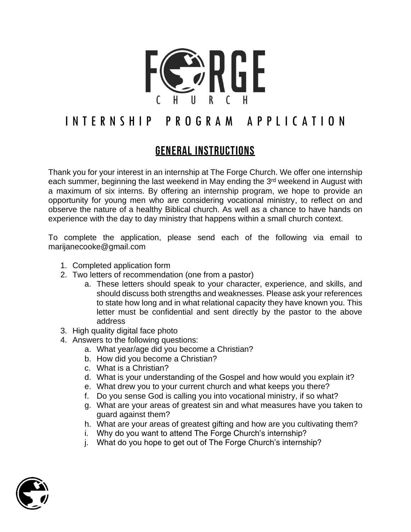

# I N T E R N S H I P P R O G R A M A P P L I C A T I O N

# General Instructions

Thank you for your interest in an internship at The Forge Church. We offer one internship each summer, beginning the last weekend in May ending the 3rd weekend in August with a maximum of six interns. By offering an internship program, we hope to provide an opportunity for young men who are considering vocational ministry, to reflect on and observe the nature of a healthy Biblical church. As well as a chance to have hands on experience with the day to day ministry that happens within a small church context.

To complete the application, please send each of the following via email to marijanecooke@gmail.com

- 1. Completed application form
- 2. Two letters of recommendation (one from a pastor)
	- a. These letters should speak to your character, experience, and skills, and should discuss both strengths and weaknesses. Please ask your references to state how long and in what relational capacity they have known you. This letter must be confidential and sent directly by the pastor to the above address
- 3. High quality digital face photo
- 4. Answers to the following questions:
	- a. What year/age did you become a Christian?
	- b. How did you become a Christian?
	- c. What is a Christian?
	- d. What is your understanding of the Gospel and how would you explain it?
	- e. What drew you to your current church and what keeps you there?
	- f. Do you sense God is calling you into vocational ministry, if so what?
	- g. What are your areas of greatest sin and what measures have you taken to guard against them?
	- h. What are your areas of greatest gifting and how are you cultivating them?
	- i. Why do you want to attend The Forge Church's internship?
	- j. What do you hope to get out of The Forge Church's internship?

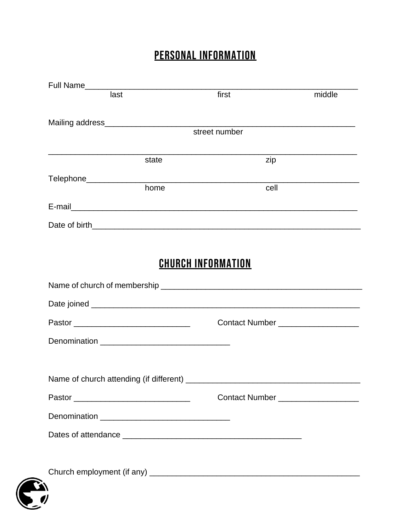# PERSONAL INFORMATION

| last |       | first                                | middle |
|------|-------|--------------------------------------|--------|
|      |       |                                      |        |
|      |       | street number                        |        |
|      | state | zip                                  |        |
|      |       |                                      |        |
|      | home  | cell                                 |        |
|      |       |                                      |        |
|      |       |                                      |        |
|      |       |                                      |        |
|      |       | <b>CHURCH INFORMATION</b>            |        |
|      |       |                                      |        |
|      |       |                                      |        |
|      |       | Contact Number _____________________ |        |
|      |       |                                      |        |
|      |       |                                      |        |
|      |       |                                      |        |
|      |       | Contact Number _____________________ |        |
|      |       |                                      |        |
|      |       |                                      |        |
|      |       |                                      |        |
|      |       |                                      |        |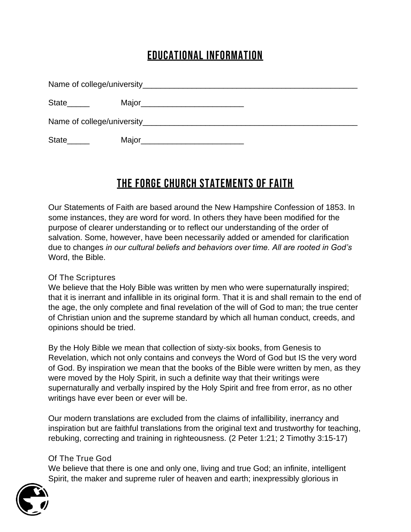# Educational Information

| State <sub>______</sub> | Major_____________________________                           |
|-------------------------|--------------------------------------------------------------|
|                         |                                                              |
| State <sub>______</sub> | Major <b>Major Major Major Major Major Major Major Major</b> |

# THE FORGE CHURCH STATEMENTS OF FAITH

*Our Statements of Faith are based around the New Hampshire Confession of 1853. In some instances, they are word for word. In others they have been modified for the purpose of clearer understanding or to reflect our understanding of the order of salvation. Some, however, have been necessarily added or amended for clarification due to changes in our cultural beliefs and behaviors over time. All are rooted in God's Word, the Bible.*

# Of The Scriptures

We believe that the Holy Bible was written by men who were supernaturally inspired; that it is inerrant and infallible in its original form. That it is and shall remain to the end of the age, the only complete and final revelation of the will of God to man; the true center of Christian union and the supreme standard by which all human conduct, creeds, and opinions should be tried.

By the Holy Bible we mean that collection of sixty-six books, from Genesis to Revelation, which not only contains and conveys the Word of God but IS the very word of God. By inspiration we mean that the books of the Bible were written by men, as they were moved by the Holy Spirit, in such a definite way that their writings were supernaturally and verbally inspired by the Holy Spirit and free from error, as no other writings have ever been or ever will be.

Our modern translations are excluded from the claims of infallibility, inerrancy and inspiration but are faithful translations from the original text and trustworthy for teaching, rebuking, correcting and training in righteousness. *(2 Peter 1:21; 2 Timothy 3:15-17)*

# Of The True God

We believe that there is one and only one, living and true God; an infinite, intelligent Spirit, the maker and supreme ruler of heaven and earth; inexpressibly glorious in

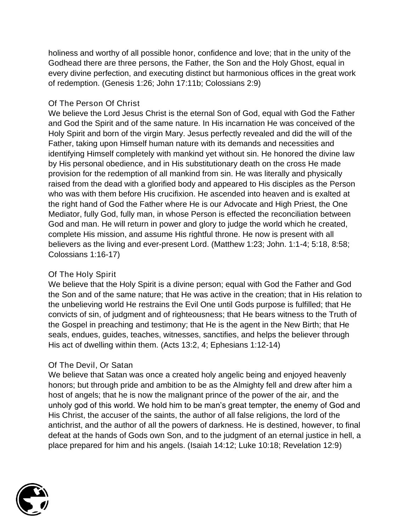holiness and worthy of all possible honor, confidence and love; that in the unity of the Godhead there are three persons, the Father, the Son and the Holy Ghost, equal in every divine perfection, and executing distinct but harmonious offices in the great work of redemption. *(Genesis 1:26; John 17:11b; Colossians 2:9)*

#### Of The Person Of Christ

We believe the Lord Jesus Christ is the eternal Son of God, equal with God the Father and God the Spirit and of the same nature. In His incarnation He was conceived of the Holy Spirit and born of the virgin Mary. Jesus perfectly revealed and did the will of the Father, taking upon Himself human nature with its demands and necessities and identifying Himself completely with mankind yet without sin. He honored the divine law by His personal obedience, and in His substitutionary death on the cross He made provision for the redemption of all mankind from sin. He was literally and physically raised from the dead with a glorified body and appeared to His disciples as the Person who was with them before His crucifixion. He ascended into heaven and is exalted at the right hand of God the Father where He is our Advocate and High Priest, the One Mediator, fully God, fully man, in whose Person is effected the reconciliation between God and man. He will return in power and glory to judge the world which he created, complete His mission, and assume His rightful throne. He now is present with all believers as the living and ever-present Lord. *(Matthew 1:23; John. 1:1-4; 5:18, 8:58; Colossians 1:16-17)*

# Of The Holy Spirit

We believe that the Holy Spirit is a divine person; equal with God the Father and God the Son and of the same nature; that He was active in the creation; that in His relation to the unbelieving world He restrains the Evil One until Gods purpose is fulfilled; that He convicts of sin, of judgment and of righteousness; that He bears witness to the Truth of the Gospel in preaching and testimony; that He is the agent in the New Birth; that He seals, endues, guides, teaches, witnesses, sanctifies, and helps the believer through His act of dwelling within them. (*Acts 13:2, 4; Ephesians 1:12-*14)

# Of The Devil, Or Satan

We believe that Satan was once a created holy angelic being and enjoyed heavenly honors; but through pride and ambition to be as the Almighty fell and drew after him a host of angels; that he is now the malignant prince of the power of the air, and the unholy god of this world. We hold him to be man's great tempter, the enemy of God and His Christ, the accuser of the saints, the author of all false religions, the lord of the antichrist, and the author of all the powers of darkness. He is destined, however, to final defeat at the hands of Gods own Son, and to the judgment of an eternal justice in hell, a place prepared for him and his angels. (*Isaiah 14:12; Luke 10:18; Revelation 12:9*)

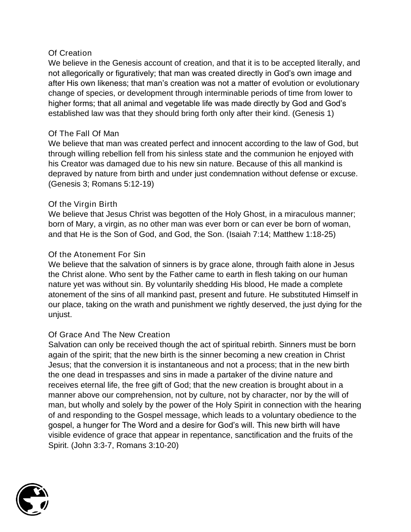#### Of Creation

We believe in the Genesis account of creation, and that it is to be accepted literally, and not allegorically or figuratively; that man was created directly in God's own image and after His own likeness; that man's creation was not a matter of evolution or evolutionary change of species, or development through interminable periods of time from lower to higher forms; that all animal and vegetable life was made directly by God and God's established law was that they should bring forth only after their kind. (*Genesis 1*)

#### Of The Fall Of Man

We believe that man was created perfect and innocent according to the law of God, but through willing rebellion fell from his sinless state and the communion he enjoyed with his Creator was damaged due to his new sin nature. Because of this all mankind is depraved by nature from birth and under just condemnation without defense or excuse. (*Genesis 3; Romans 5:12-19*)

#### Of the Virgin Birth

We believe that Jesus Christ was begotten of the Holy Ghost, in a miraculous manner; born of Mary, a virgin, as no other man was ever born or can ever be born of woman, and that He is the Son of God, and God, the Son. (*Isaiah 7:14; Matthew 1:18-25*)

# Of the Atonement For Sin

We believe that the salvation of sinners is by grace alone, through faith alone in Jesus the Christ alone. Who sent by the Father came to earth in flesh taking on our human nature yet was without sin. By voluntarily shedding His blood, He made a complete atonement of the sins of all mankind past, present and future. He substituted Himself in our place, taking on the wrath and punishment we rightly deserved, the just dying for the unjust.

# Of Grace And The New Creation

Salvation can only be received though the act of spiritual rebirth. Sinners must be born again of the spirit; that the new birth is the sinner becoming a new creation in Christ Jesus; that the conversion it is instantaneous and not a process; that in the new birth the one dead in trespasses and sins in made a partaker of the divine nature and receives eternal life, the free gift of God; that the new creation is brought about in a manner above our comprehension, not by culture, not by character, nor by the will of man, but wholly and solely by the power of the Holy Spirit in connection with the hearing of and responding to the Gospel message, which leads to a voluntary obedience to the gospel, a hunger for The Word and a desire for God's will. This new birth will have visible evidence of grace that appear in repentance, sanctification and the fruits of the Spirit. (*John 3:3-7, Romans 3:10-20*)

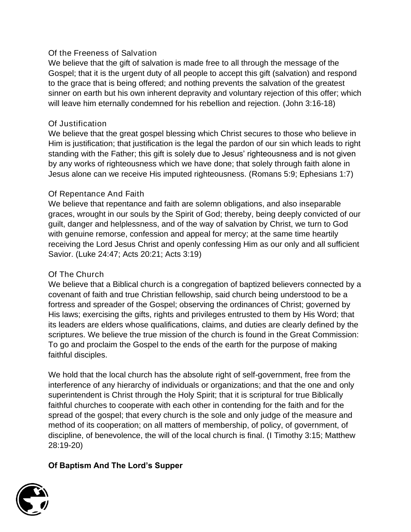#### Of the Freeness of Salvation

We believe that the gift of salvation is made free to all through the message of the Gospel; that it is the urgent duty of all people to accept this gift (salvation) and respond to the grace that is being offered; and nothing prevents the salvation of the greatest sinner on earth but his own inherent depravity and voluntary rejection of this offer; which will leave him eternally condemned for his rebellion and rejection. (*John 3:16-18*)

#### Of Justification

We believe that the great gospel blessing which Christ secures to those who believe in Him is justification; that justification is the legal the pardon of our sin which leads to right standing with the Father; this gift is solely due to Jesus' righteousness and is not given by any works of righteousness which we have done; that solely through faith alone in Jesus alone can we receive His imputed righteousness. (*Romans 5:9; Ephesians 1:7*)

#### Of Repentance And Faith

We believe that repentance and faith are solemn obligations, and also inseparable graces, wrought in our souls by the Spirit of God; thereby, being deeply convicted of our guilt, danger and helplessness, and of the way of salvation by Christ, we turn to God with genuine remorse, confession and appeal for mercy; at the same time heartily receiving the Lord Jesus Christ and openly confessing Him as our only and all sufficient Savior. (*Luke 24:47; Acts 20:21; Acts 3:19*)

# Of The Church

We believe that a Biblical church is a congregation of baptized believers connected by a covenant of faith and true Christian fellowship, said church being understood to be a fortress and spreader of the Gospel; observing the ordinances of Christ; governed by His laws; exercising the gifts, rights and privileges entrusted to them by His Word; that its leaders are elders whose qualifications, claims, and duties are clearly defined by the scriptures. We believe the true mission of the church is found in the Great Commission: To go and proclaim the Gospel to the ends of the earth for the purpose of making faithful disciples.

We hold that the local church has the absolute right of self-government, free from the interference of any hierarchy of individuals or organizations; and that the one and only superintendent is Christ through the Holy Spirit; that it is scriptural for true Biblically faithful churches to cooperate with each other in contending for the faith and for the spread of the gospel; that every church is the sole and only judge of the measure and method of its cooperation; on all matters of membership, of policy, of government, of discipline, of benevolence, the will of the local church is final. (*I Timothy 3:15; Matthew 28:19-20*)

# Of Baptism And The Lord's Supper

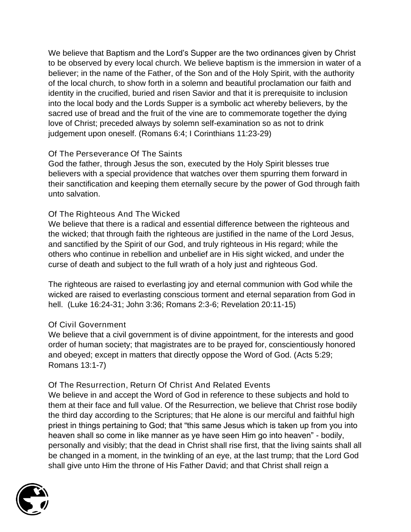We believe that Baptism and the Lord's Supper are the two ordinances given by Christ to be observed by every local church. We believe baptism is the immersion in water of a believer; in the name of the Father, of the Son and of the Holy Spirit, with the authority of the local church, to show forth in a solemn and beautiful proclamation our faith and identity in the crucified, buried and risen Savior and that it is prerequisite to inclusion into the local body and the Lords Supper is a symbolic act whereby believers, by the sacred use of bread and the fruit of the vine are to commemorate together the dying love of Christ; preceded always by solemn self-examination so as not to drink judgement upon oneself. (*Romans 6:4; I Corinthians 11:23-29*)

# Of The Perseverance Of The Saints

God the father, through Jesus the son, executed by the Holy Spirit blesses true believers with a special providence that watches over them spurring them forward in their sanctification and keeping them eternally secure by the power of God through faith unto salvation.

# Of The Righteous And The Wicked

We believe that there is a radical and essential difference between the righteous and the wicked; that through faith the righteous are justified in the name of the Lord Jesus, and sanctified by the Spirit of our God, and truly righteous in His regard; while the others who continue in rebellion and unbelief are in His sight wicked, and under the curse of death and subject to the full wrath of a holy just and righteous God.

The righteous are raised to everlasting joy and eternal communion with God while the wicked are raised to everlasting conscious torment and eternal separation from God in hell. (*Luke 16:24-31; John 3:36; Romans 2:3-6; Revelation 20:11-15)*

# Of Civil Government

We believe that a civil government is of divine appointment, for the interests and good order of human society; that magistrates are to be prayed for, conscientiously honored and obeyed; except in matters that directly oppose the Word of God. (*Acts 5:29; Romans 13:1-7*)

# Of The Resurrection, Return Of Christ And Related Events

We believe in and accept the Word of God in reference to these subjects and hold to them at their face and full value. Of the Resurrection, we believe that Christ rose bodily the third day according to the Scriptures; that He alone is our merciful and faithful high priest in things pertaining to God; that "this same Jesus which is taken up from you into heaven shall so come in like manner as ye have seen Him go into heaven" - bodily, personally and visibly; that the dead in Christ shall rise first, that the living saints shall all be changed in a moment, in the twinkling of an eye, at the last trump; that the Lord God shall give unto Him the throne of His Father David; and that Christ shall reign a

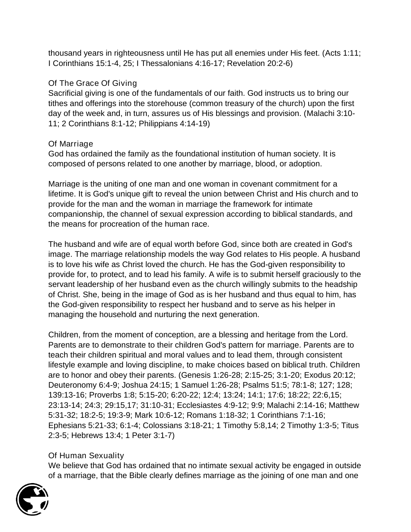thousand years in righteousness until He has put all enemies under His feet. (*Acts 1:11; I Corinthians 15:1-4, 25; I Thessalonians 4:16-17; Revelation 20:2-6)*

# Of The Grace Of Giving

Sacrificial giving is one of the fundamentals of our faith. God instructs us to bring our tithes and offerings into the storehouse (common treasury of the church) upon the first day of the week and, in turn, assures us of His blessings and provision. (*Malachi 3:10- 11; 2 Corinthians 8:1-12; Philippians 4:14-19*)

# Of Marriage

God has ordained the family as the foundational institution of human society. It is composed of persons related to one another by marriage, blood, or adoption.

Marriage is the uniting of one man and one woman in covenant commitment for a lifetime. It is God's unique gift to reveal the union between Christ and His church and to provide for the man and the woman in marriage the framework for intimate companionship, the channel of sexual expression according to biblical standards, and the means for procreation of the human race.

The husband and wife are of equal worth before God, since both are created in God's image. The marriage relationship models the way God relates to His people. A husband is to love his wife as Christ loved the church. He has the God-given responsibility to provide for, to protect, and to lead his family. A wife is to submit herself graciously to the servant leadership of her husband even as the church willingly submits to the headship of Christ. She, being in the image of God as is her husband and thus equal to him, has the God-given responsibility to respect her husband and to serve as his helper in managing the household and nurturing the next generation.

Children, from the moment of conception, are a blessing and heritage from the Lord. Parents are to demonstrate to their children God's pattern for marriage. Parents are to teach their children spiritual and moral values and to lead them, through consistent lifestyle example and loving discipline, to make choices based on biblical truth. Children are to honor and obey their parents. (Genesis 1:26-28; 2:15-25; 3:1-20; Exodus 20:12; Deuteronomy 6:4-9; Joshua 24:15; 1 Samuel 1:26-28; Psalms 51:5; 78:1-8; 127; 128; 139:13-16; Proverbs 1:8; 5:15-20; 6:20-22; 12:4; 13:24; 14:1; 17:6; 18:22; 22:6,15; 23:13-14; 24:3; 29:15,17; 31:10-31; Ecclesiastes 4:9-12; 9:9; Malachi 2:14-16; Matthew 5:31-32; 18:2-5; 19:3-9; Mark 10:6-12; Romans 1:18-32; 1 Corinthians 7:1-16; Ephesians 5:21-33; 6:1-4; Colossians 3:18-21; 1 Timothy 5:8,14; 2 Timothy 1:3-5; Titus 2:3-5; Hebrews 13:4; 1 Peter 3:1-7)

# Of Human Sexuality

We believe that God has ordained that no intimate sexual activity be engaged in outside of a marriage, that the Bible clearly defines marriage as the joining of one man and one